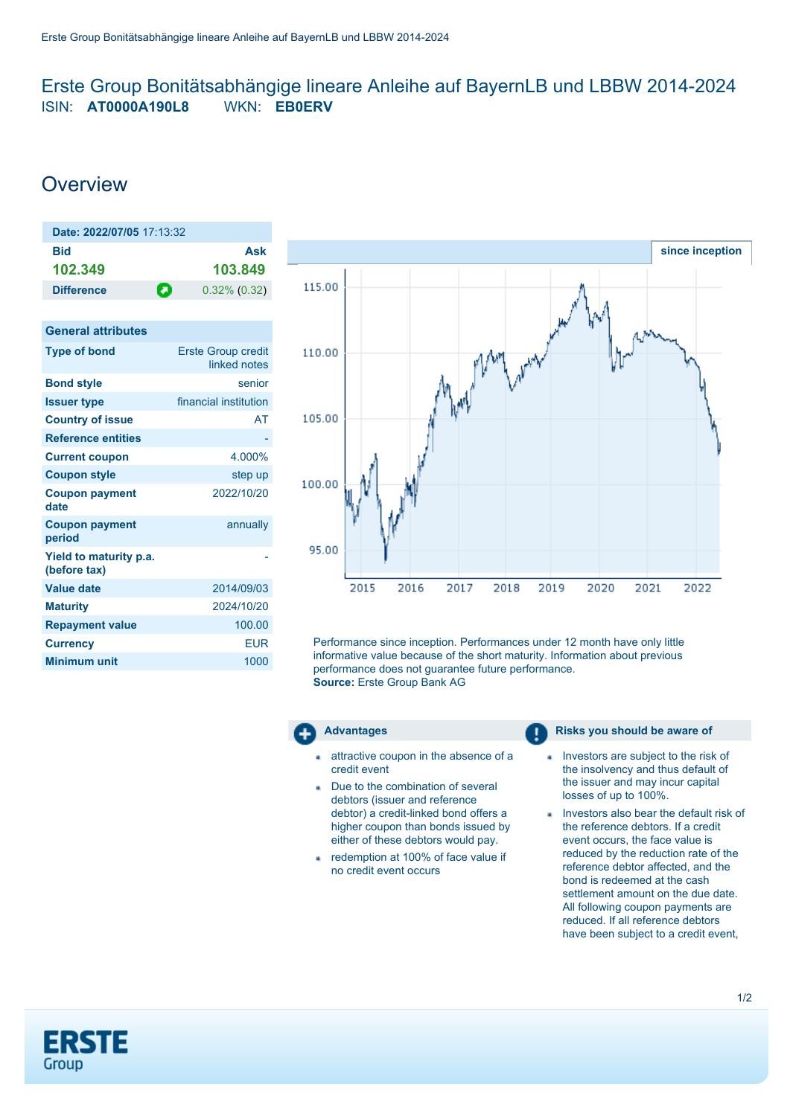## <span id="page-0-0"></span>Erste Group Bonitätsabhängige lineare Anleihe auf BayernLB und LBBW 2014-2024 ISIN: **AT0000A190L8** WKN: **EB0ERV**

# **Overview**

**General attributes**

| Date: 2022/07/05 17:13:32 |   |                 |
|---------------------------|---|-----------------|
| Bid<br>102.349            |   | Ask<br>103.849  |
| <b>Difference</b>         | О | $0.32\%$ (0.32) |

| OBIIBI di dili Ibules                  |                                           |
|----------------------------------------|-------------------------------------------|
| <b>Type of bond</b>                    | <b>Erste Group credit</b><br>linked notes |
| <b>Bond style</b>                      | senior                                    |
| <b>Issuer type</b>                     | financial institution                     |
| <b>Country of issue</b>                | AT                                        |
| <b>Reference entities</b>              |                                           |
| <b>Current coupon</b>                  | 4.000%                                    |
| <b>Coupon style</b>                    | step up                                   |
| <b>Coupon payment</b><br>date          | 2022/10/20                                |
| <b>Coupon payment</b><br>period        | annually                                  |
| Yield to maturity p.a.<br>(before tax) |                                           |
| <b>Value date</b>                      | 2014/09/03                                |
| <b>Maturity</b>                        | 2024/10/20                                |
| <b>Repayment value</b>                 | 100.00                                    |
| <b>Currency</b>                        | <b>EUR</b>                                |
| <b>Minimum unit</b>                    | 1000                                      |
|                                        |                                           |



Performance since inception. Performances under 12 month have only little informative value because of the short maturity. Information about previous performance does not guarantee future performance. **Source:** Erste Group Bank AG



- attractive coupon in the absence of a credit event
- Due to the combination of several debtors (issuer and reference debtor) a credit-linked bond offers a higher coupon than bonds issued by either of these debtors would pay.
- redemption at 100% of face value if no credit event occurs

## **Advantages Risks** you should be aware of

- Investors are subject to the risk of the insolvency and thus default of the issuer and may incur capital losses of up to 100%.
- **Investors also bear the default risk of** the reference debtors. If a credit event occurs, the face value is reduced by the reduction rate of the reference debtor affected, and the bond is redeemed at the cash settlement amount on the due date. All following coupon payments are reduced. If all reference debtors have been subject to a credit event,